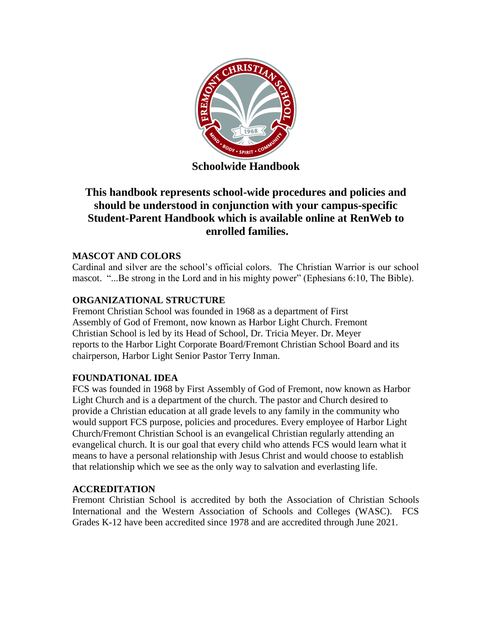

**Schoolwide Handbook**

# **This handbook represents school-wide procedures and policies and should be understood in conjunction with your campus-specific Student-Parent Handbook which is available online at RenWeb to enrolled families.**

# **MASCOT AND COLORS**

Cardinal and silver are the school's official colors. The Christian Warrior is our school mascot. "...Be strong in the Lord and in his mighty power" (Ephesians 6:10, The Bible).

# **ORGANIZATIONAL STRUCTURE**

Fremont Christian School was founded in 1968 as a department of First Assembly of God of Fremont, now known as Harbor Light Church. Fremont Christian School is led by its Head of School, Dr. Tricia Meyer. Dr. Meyer reports to the Harbor Light Corporate Board/Fremont Christian School Board and its chairperson, Harbor Light Senior Pastor Terry Inman.

### **FOUNDATIONAL IDEA**

FCS was founded in 1968 by First Assembly of God of Fremont, now known as Harbor Light Church and is a department of the church. The pastor and Church desired to provide a Christian education at all grade levels to any family in the community who would support FCS purpose, policies and procedures. Every employee of Harbor Light Church/Fremont Christian School is an evangelical Christian regularly attending an evangelical church. It is our goal that every child who attends FCS would learn what it means to have a personal relationship with Jesus Christ and would choose to establish that relationship which we see as the only way to salvation and everlasting life.

# **ACCREDITATION**

Fremont Christian School is accredited by both the Association of Christian Schools International and the Western Association of Schools and Colleges (WASC). FCS Grades K-12 have been accredited since 1978 and are accredited through June 2021.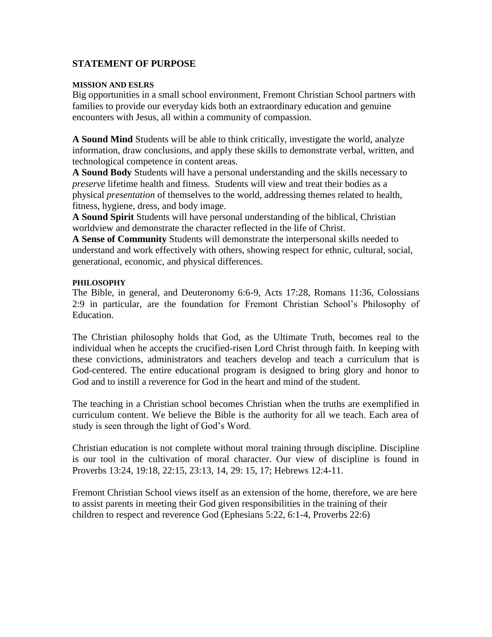#### **STATEMENT OF PURPOSE**

#### **MISSION AND ESLRS**

Big opportunities in a small school environment, Fremont Christian School partners with families to provide our everyday kids both an extraordinary education and genuine encounters with Jesus, all within a community of compassion.

**A Sound Mind** Students will be able to think critically, investigate the world, analyze information, draw conclusions, and apply these skills to demonstrate verbal, written, and technological competence in content areas.

**A Sound Body** Students will have a personal understanding and the skills necessary to *preserve* lifetime health and fitness. Students will view and treat their bodies as a physical *presentation* of themselves to the world, addressing themes related to health, fitness, hygiene, dress, and body image.

**A Sound Spirit** Students will have personal understanding of the biblical, Christian worldview and demonstrate the character reflected in the life of Christ.

**A Sense of Community** Students will demonstrate the interpersonal skills needed to understand and work effectively with others, showing respect for ethnic, cultural, social, generational, economic, and physical differences.

#### **PHILOSOPHY**

The Bible, in general, and Deuteronomy 6:6-9, Acts 17:28, Romans 11:36, Colossians 2:9 in particular, are the foundation for Fremont Christian School's Philosophy of Education.

The Christian philosophy holds that God, as the Ultimate Truth, becomes real to the individual when he accepts the crucified-risen Lord Christ through faith. In keeping with these convictions, administrators and teachers develop and teach a curriculum that is God-centered. The entire educational program is designed to bring glory and honor to God and to instill a reverence for God in the heart and mind of the student.

The teaching in a Christian school becomes Christian when the truths are exemplified in curriculum content. We believe the Bible is the authority for all we teach. Each area of study is seen through the light of God's Word.

Christian education is not complete without moral training through discipline. Discipline is our tool in the cultivation of moral character. Our view of discipline is found in Proverbs 13:24, 19:18, 22:15, 23:13, 14, 29: 15, 17; Hebrews 12:4-11.

Fremont Christian School views itself as an extension of the home, therefore, we are here to assist parents in meeting their God given responsibilities in the training of their children to respect and reverence God (Ephesians 5:22, 6:1-4, Proverbs 22:6)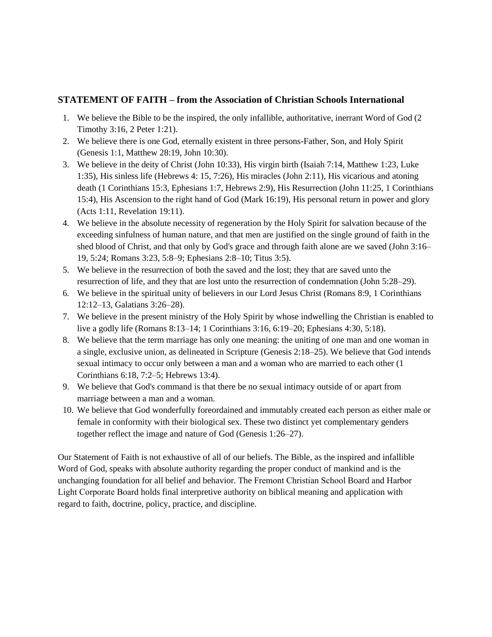#### **STATEMENT OF FAITH – from the Association of Christian Schools International**

- 1. We believe the Bible to be the inspired, the only infallible, authoritative, inerrant Word of God (2 Timothy 3:16, 2 Peter 1:21).
- 2. We believe there is one God, eternally existent in three persons-Father, Son, and Holy Spirit (Genesis 1:1, Matthew 28:19, John 10:30).
- 3. We believe in the deity of Christ (John 10:33), His virgin birth (Isaiah 7:14, Matthew 1:23, Luke 1:35), His sinless life (Hebrews 4: 15, 7:26), His miracles (John 2:11), His vicarious and atoning death (1 Corinthians 15:3, Ephesians 1:7, Hebrews 2:9), His Resurrection (John 11:25, 1 Corinthians 15:4), His Ascension to the right hand of God (Mark 16:19), His personal return in power and glory (Acts 1:11, Revelation 19:11).
- 4. We believe in the absolute necessity of regeneration by the Holy Spirit for salvation because of the exceeding sinfulness of human nature, and that men are justified on the single ground of faith in the shed blood of Christ, and that only by God's grace and through faith alone are we saved (John 3:16– 19, 5:24; Romans 3:23, 5:8–9; Ephesians 2:8–10; Titus 3:5).
- 5. We believe in the resurrection of both the saved and the lost; they that are saved unto the resurrection of life, and they that are lost unto the resurrection of condemnation (John 5:28–29).
- 6. We believe in the spiritual unity of believers in our Lord Jesus Christ (Romans 8:9, 1 Corinthians 12:12–13, Galatians 3:26–28).
- 7. We believe in the present ministry of the Holy Spirit by whose indwelling the Christian is enabled to live a godly life (Romans 8:13–14; 1 Corinthians 3:16, 6:19–20; Ephesians 4:30, 5:18).
- 8. We believe that the term marriage has only one meaning: the uniting of one man and one woman in a single, exclusive union, as delineated in Scripture (Genesis 2:18–25). We believe that God intends sexual intimacy to occur only between a man and a woman who are married to each other (1 Corinthians 6:18, 7:2–5; Hebrews 13:4).
- 9. We believe that God's command is that there be no sexual intimacy outside of or apart from marriage between a man and a woman.
- 10. We believe that God wonderfully foreordained and immutably created each person as either male or female in conformity with their biological sex. These two distinct yet complementary genders together reflect the image and nature of God (Genesis 1:26–27).

Our Statement of Faith is not exhaustive of all of our beliefs. The Bible, as the inspired and infallible Word of God, speaks with absolute authority regarding the proper conduct of mankind and is the unchanging foundation for all belief and behavior. The Fremont Christian School Board and Harbor Light Corporate Board holds final interpretive authority on biblical meaning and application with regard to faith, doctrine, policy, practice, and discipline.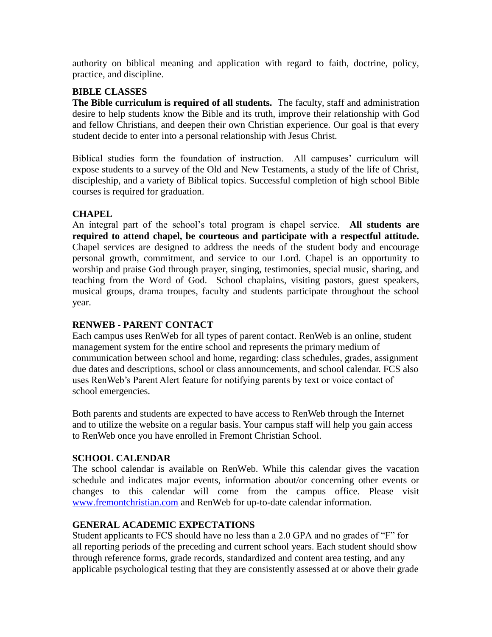authority on biblical meaning and application with regard to faith, doctrine, policy, practice, and discipline.

### **BIBLE CLASSES**

**The Bible curriculum is required of all students.** The faculty, staff and administration desire to help students know the Bible and its truth, improve their relationship with God and fellow Christians, and deepen their own Christian experience. Our goal is that every student decide to enter into a personal relationship with Jesus Christ.

Biblical studies form the foundation of instruction. All campuses' curriculum will expose students to a survey of the Old and New Testaments, a study of the life of Christ, discipleship, and a variety of Biblical topics. Successful completion of high school Bible courses is required for graduation.

### **CHAPEL**

An integral part of the school's total program is chapel service. **All students are required to attend chapel, be courteous and participate with a respectful attitude.** Chapel services are designed to address the needs of the student body and encourage personal growth, commitment, and service to our Lord. Chapel is an opportunity to worship and praise God through prayer, singing, testimonies, special music, sharing, and teaching from the Word of God. School chaplains, visiting pastors, guest speakers, musical groups, drama troupes, faculty and students participate throughout the school year.

### **RENWEB - PARENT CONTACT**

Each campus uses RenWeb for all types of parent contact. RenWeb is an online, student management system for the entire school and represents the primary medium of communication between school and home, regarding: class schedules, grades, assignment due dates and descriptions, school or class announcements, and school calendar. FCS also uses RenWeb's Parent Alert feature for notifying parents by text or voice contact of school emergencies.

Both parents and students are expected to have access to RenWeb through the Internet and to utilize the website on a regular basis. Your campus staff will help you gain access to RenWeb once you have enrolled in Fremont Christian School.

### **SCHOOL CALENDAR**

The school calendar is available on RenWeb. While this calendar gives the vacation schedule and indicates major events, information about/or concerning other events or changes to this calendar will come from the campus office. Please visit [www.fremontchristian.com](http://www.fremontchristian.com/) and RenWeb for up-to-date calendar information.

### **GENERAL ACADEMIC EXPECTATIONS**

Student applicants to FCS should have no less than a 2.0 GPA and no grades of "F" for all reporting periods of the preceding and current school years. Each student should show through reference forms, grade records, standardized and content area testing, and any applicable psychological testing that they are consistently assessed at or above their grade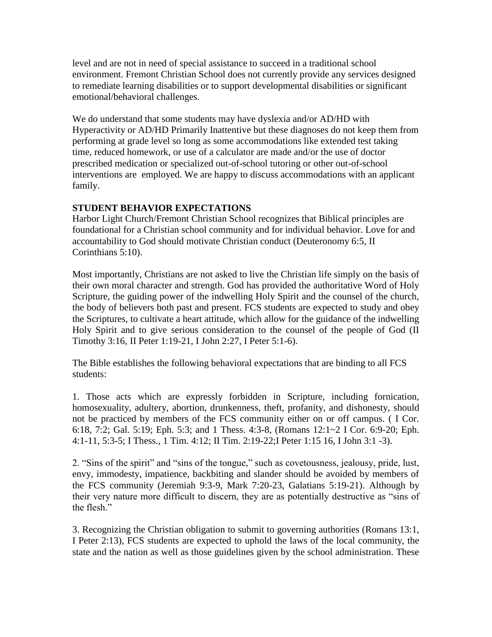level and are not in need of special assistance to succeed in a traditional school environment. Fremont Christian School does not currently provide any services designed to remediate learning disabilities or to support developmental disabilities or significant emotional/behavioral challenges.

We do understand that some students may have dyslexia and/or AD/HD with Hyperactivity or AD/HD Primarily Inattentive but these diagnoses do not keep them from performing at grade level so long as some accommodations like extended test taking time, reduced homework, or use of a calculator are made and/or the use of doctor prescribed medication or specialized out-of-school tutoring or other out-of-school interventions are employed. We are happy to discuss accommodations with an applicant family.

# **STUDENT BEHAVIOR EXPECTATIONS**

Harbor Light Church/Fremont Christian School recognizes that Biblical principles are foundational for a Christian school community and for individual behavior. Love for and accountability to God should motivate Christian conduct (Deuteronomy 6:5, II Corinthians 5:10).

Most importantly, Christians are not asked to live the Christian life simply on the basis of their own moral character and strength. God has provided the authoritative Word of Holy Scripture, the guiding power of the indwelling Holy Spirit and the counsel of the church, the body of believers both past and present. FCS students are expected to study and obey the Scriptures, to cultivate a heart attitude, which allow for the guidance of the indwelling Holy Spirit and to give serious consideration to the counsel of the people of God (II Timothy 3:16, II Peter 1:19-21, I John 2:27, I Peter 5:1-6).

The Bible establishes the following behavioral expectations that are binding to all FCS students:

1. Those acts which are expressly forbidden in Scripture, including fornication, homosexuality, adultery, abortion, drunkenness, theft, profanity, and dishonesty, should not be practiced by members of the FCS community either on or off campus. ( I Cor. 6:18, 7:2; Gal. 5:19; Eph. 5:3; and 1 Thess. 4:3-8, (Romans 12:1~2 I Cor. 6:9-20; Eph. 4:1-11, 5:3-5; I Thess., 1 Tim. 4:12; II Tim. 2:19-22;I Peter 1:15 16, I John 3:1 -3).

2. "Sins of the spirit" and "sins of the tongue," such as covetousness, jealousy, pride, lust, envy, immodesty, impatience, backbiting and slander should be avoided by members of the FCS community (Jeremiah 9:3-9, Mark 7:20-23, Galatians 5:19-21). Although by their very nature more difficult to discern, they are as potentially destructive as "sins of the flesh."

3. Recognizing the Christian obligation to submit to governing authorities (Romans 13:1, I Peter 2:13), FCS students are expected to uphold the laws of the local community, the state and the nation as well as those guidelines given by the school administration. These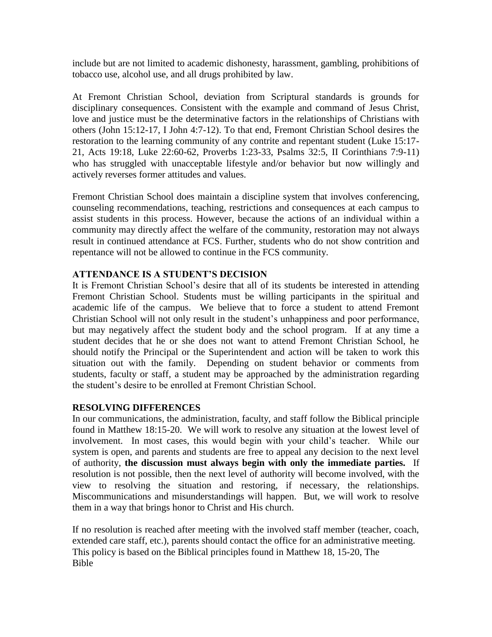include but are not limited to academic dishonesty, harassment, gambling, prohibitions of tobacco use, alcohol use, and all drugs prohibited by law.

At Fremont Christian School, deviation from Scriptural standards is grounds for disciplinary consequences. Consistent with the example and command of Jesus Christ, love and justice must be the determinative factors in the relationships of Christians with others (John 15:12-17, I John 4:7-12). To that end, Fremont Christian School desires the restoration to the learning community of any contrite and repentant student (Luke 15:17- 21, Acts 19:18, Luke 22:60-62, Proverbs 1:23-33, Psalms 32:5, II Corinthians 7:9-11) who has struggled with unacceptable lifestyle and/or behavior but now willingly and actively reverses former attitudes and values.

Fremont Christian School does maintain a discipline system that involves conferencing, counseling recommendations, teaching, restrictions and consequences at each campus to assist students in this process. However, because the actions of an individual within a community may directly affect the welfare of the community, restoration may not always result in continued attendance at FCS. Further, students who do not show contrition and repentance will not be allowed to continue in the FCS community.

#### **ATTENDANCE IS A STUDENT'S DECISION**

It is Fremont Christian School's desire that all of its students be interested in attending Fremont Christian School. Students must be willing participants in the spiritual and academic life of the campus. We believe that to force a student to attend Fremont Christian School will not only result in the student's unhappiness and poor performance, but may negatively affect the student body and the school program. If at any time a student decides that he or she does not want to attend Fremont Christian School, he should notify the Principal or the Superintendent and action will be taken to work this situation out with the family. Depending on student behavior or comments from students, faculty or staff, a student may be approached by the administration regarding the student's desire to be enrolled at Fremont Christian School.

### **RESOLVING DIFFERENCES**

In our communications, the administration, faculty, and staff follow the Biblical principle found in Matthew 18:15-20. We will work to resolve any situation at the lowest level of involvement. In most cases, this would begin with your child's teacher. While our system is open, and parents and students are free to appeal any decision to the next level of authority, **the discussion must always begin with only the immediate parties.** If resolution is not possible, then the next level of authority will become involved, with the view to resolving the situation and restoring, if necessary, the relationships. Miscommunications and misunderstandings will happen. But, we will work to resolve them in a way that brings honor to Christ and His church.

If no resolution is reached after meeting with the involved staff member (teacher, coach, extended care staff, etc.), parents should contact the office for an administrative meeting. This policy is based on the Biblical principles found in Matthew 18, 15-20, The Bible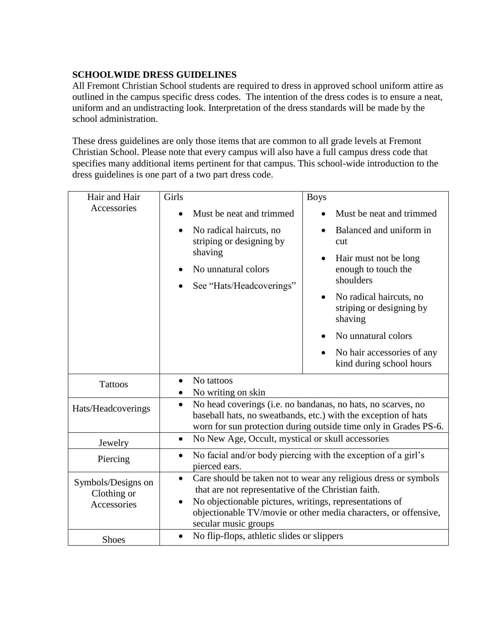# **SCHOOLWIDE DRESS GUIDELINES**

All Fremont Christian School students are required to dress in approved school uniform attire as outlined in the campus specific dress codes. The intention of the dress codes is to ensure a neat, uniform and an undistracting look. Interpretation of the dress standards will be made by the school administration.

These dress guidelines are only those items that are common to all grade levels at Fremont Christian School. Please note that every campus will also have a full campus dress code that specifies many additional items pertinent for that campus. This school-wide introduction to the dress guidelines is one part of a two part dress code.

| Hair and Hair                                    | Girls                                                                                                                                                                                                                                                                                                  | <b>Boys</b>                                                                                                                                                                                                                                    |
|--------------------------------------------------|--------------------------------------------------------------------------------------------------------------------------------------------------------------------------------------------------------------------------------------------------------------------------------------------------------|------------------------------------------------------------------------------------------------------------------------------------------------------------------------------------------------------------------------------------------------|
| Accessories                                      | Must be neat and trimmed                                                                                                                                                                                                                                                                               | Must be neat and trimmed                                                                                                                                                                                                                       |
|                                                  | No radical haircuts, no<br>$\bullet$<br>striping or designing by<br>shaving<br>No unnatural colors<br>$\bullet$<br>See "Hats/Headcoverings"                                                                                                                                                            | Balanced and uniform in<br>cut<br>Hair must not be long<br>enough to touch the<br>shoulders<br>No radical haircuts, no<br>striping or designing by<br>shaving<br>No unnatural colors<br>No hair accessories of any<br>kind during school hours |
| <b>Tattoos</b>                                   | No tattoos<br>$\bullet$<br>No writing on skin<br>$\bullet$                                                                                                                                                                                                                                             |                                                                                                                                                                                                                                                |
| Hats/Headcoverings                               | No head coverings (i.e. no bandanas, no hats, no scarves, no<br>$\bullet$<br>baseball hats, no sweatbands, etc.) with the exception of hats<br>worn for sun protection during outside time only in Grades PS-6.                                                                                        |                                                                                                                                                                                                                                                |
| Jewelry                                          | No New Age, Occult, mystical or skull accessories<br>$\bullet$                                                                                                                                                                                                                                         |                                                                                                                                                                                                                                                |
| Piercing                                         | No facial and/or body piercing with the exception of a girl's<br>$\bullet$<br>pierced ears.                                                                                                                                                                                                            |                                                                                                                                                                                                                                                |
| Symbols/Designs on<br>Clothing or<br>Accessories | Care should be taken not to wear any religious dress or symbols<br>$\bullet$<br>that are not representative of the Christian faith.<br>No objectionable pictures, writings, representations of<br>$\bullet$<br>objectionable TV/movie or other media characters, or offensive,<br>secular music groups |                                                                                                                                                                                                                                                |
| <b>Shoes</b>                                     | No flip-flops, athletic slides or slippers<br>$\bullet$                                                                                                                                                                                                                                                |                                                                                                                                                                                                                                                |